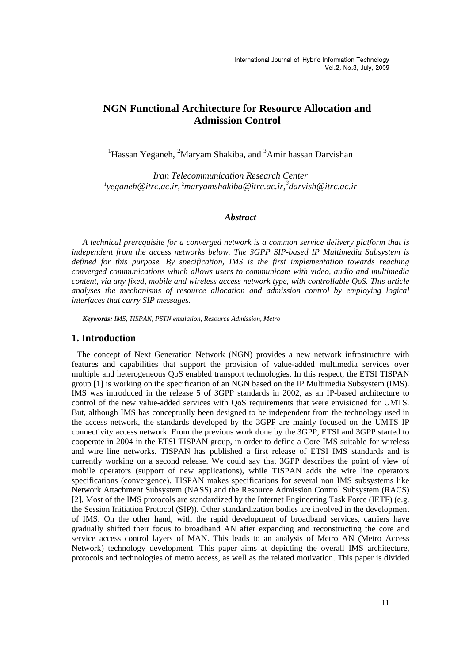# **NGN Functional Architecture for Resource Allocation and Admission Control**

<sup>1</sup>Hassan Yeganeh, <sup>2</sup>Maryam Shakiba, and <sup>3</sup>Amir hassan Darvishan

*Iran Telecommunication Research Center* 1 *yeganeh@itrc.ac.ir*, 2 *maryamshakiba@itrc.ac.ir,<sup>3</sup> darvish@itrc.ac.ir* 

### *Abstract*

*A technical prerequisite for a converged network is a common service delivery platform that is independent from the access networks below. The 3GPP SIP-based IP Multimedia Subsystem is*  defined for this purpose. By specification, IMS is the first implementation towards reaching *converged communications which allows users to communicate with video, audio and multimedia content, via any fixed, mobile and wireless access network type, with controllable QoS. This article analyses the mechanisms of resource allocation and admission control by employing logical interfaces that carry SIP messages.* 

*Keywords: IMS, TISPAN, PSTN emulation, Resource Admission, Metro* 

## **1. Introduction**

The concept of Next Generation Network (NGN) provides a new network infrastructure with features and capabilities that support the provision of value-added multimedia services over multiple and heterogeneous QoS enabled transport technologies. In this respect, the ETSI TISPAN group [1] is working on the specification of an NGN based on the IP Multimedia Subsystem (IMS). IMS was introduced in the release 5 of 3GPP standards in 2002, as an IP-based architecture to control of the new value-added services with QoS requirements that were envisioned for UMTS. But, although IMS has conceptually been designed to be independent from the technology used in the access network, the standards developed by the 3GPP are mainly focused on the UMTS IP connectivity access network. From the previous work done by the 3GPP, ETSI and 3GPP started to cooperate in 2004 in the ETSI TISPAN group, in order to define a Core IMS suitable for wireless and wire line networks. TISPAN has published a first release of ETSI IMS standards and is currently working on a second release. We could say that 3GPP describes the point of view of mobile operators (support of new applications), while TISPAN adds the wire line operators specifications (convergence). TISPAN makes specifications for several non IMS subsystems like Network Attachment Subsystem (NASS) and the Resource Admission Control Subsystem (RACS) [2]. Most of the IMS protocols are standardized by the Internet Engineering Task Force (IETF) (e.g. the Session Initiation Protocol (SIP)). Other standardization bodies are involved in the development of IMS. On the other hand, with the rapid development of broadband services, carriers have gradually shifted their focus to broadband AN after expanding and reconstructing the core and service access control layers of MAN. This leads to an analysis of Metro AN (Metro Access Network) technology development. This paper aims at depicting the overall IMS architecture, protocols and technologies of metro access, as well as the related motivation. This paper is divided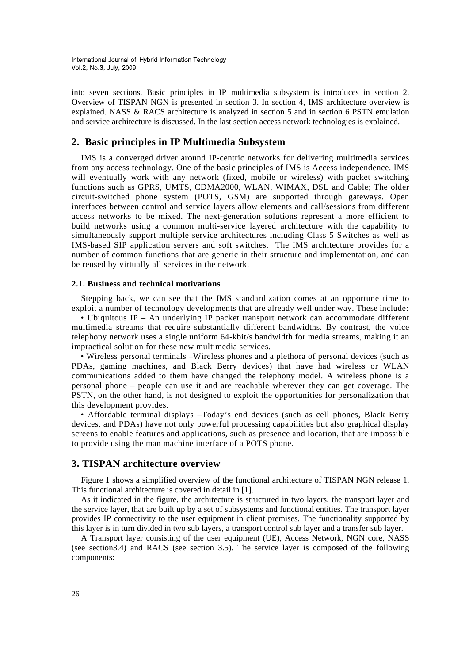into seven sections. Basic principles in IP multimedia subsystem is introduces in section 2. Overview of TISPAN NGN is presented in section 3. In section 4, IMS architecture overview is explained. NASS & RACS architecture is analyzed in section 5 and in section 6 PSTN emulation and service architecture is discussed. In the last section access network technologies is explained.

## **2. Basic principles in IP Multimedia Subsystem**

IMS is a converged driver around IP-centric networks for delivering multimedia services from any access technology. One of the basic principles of IMS is Access independence. IMS will eventually work with any network (fixed, mobile or wireless) with packet switching functions such as GPRS, UMTS, CDMA2000, WLAN, WIMAX, DSL and Cable; The older circuit-switched phone system (POTS, GSM) are supported through gateways. Open interfaces between control and service layers allow elements and call/sessions from different access networks to be mixed. The next-generation solutions represent a more efficient to build networks using a common multi-service layered architecture with the capability to simultaneously support multiple service architectures including Class 5 Switches as well as IMS-based SIP application servers and soft switches. The IMS architecture provides for a number of common functions that are generic in their structure and implementation, and can be reused by virtually all services in the network.

### **2.1. Business and technical motivations**

Stepping back, we can see that the IMS standardization comes at an opportune time to exploit a number of technology developments that are already well under way. These include:

• Ubiquitous IP – An underlying IP packet transport network can accommodate different multimedia streams that require substantially different bandwidths. By contrast, the voice telephony network uses a single uniform 64-kbit/s bandwidth for media streams, making it an impractical solution for these new multimedia services.

• Wireless personal terminals –Wireless phones and a plethora of personal devices (such as PDAs, gaming machines, and Black Berry devices) that have had wireless or WLAN communications added to them have changed the telephony model. A wireless phone is a personal phone – people can use it and are reachable wherever they can get coverage. The PSTN, on the other hand, is not designed to exploit the opportunities for personalization that this development provides.

• Affordable terminal displays –Today's end devices (such as cell phones, Black Berry devices, and PDAs) have not only powerful processing capabilities but also graphical display screens to enable features and applications, such as presence and location, that are impossible to provide using the man machine interface of a POTS phone.

## **3. TISPAN architecture overview**

Figure 1 shows a simplified overview of the functional architecture of TISPAN NGN release 1. This functional architecture is covered in detail in [1].

As it indicated in the figure, the architecture is structured in two layers, the transport layer and the service layer, that are built up by a set of subsystems and functional entities. The transport layer provides IP connectivity to the user equipment in client premises. The functionality supported by this layer is in turn divided in two sub layers, a transport control sub layer and a transfer sub layer.

A Transport layer consisting of the user equipment (UE), Access Network, NGN core, NASS (see section3.4) and RACS (see section 3.5). The service layer is composed of the following components: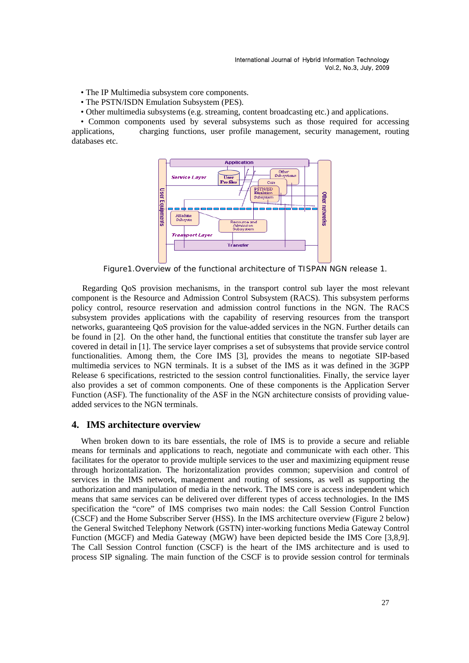• The IP Multimedia subsystem core components.

• The PSTN/ISDN Emulation Subsystem (PES).

• Other multimedia subsystems (e.g. streaming, content broadcasting etc.) and applications.

• Common components used by several subsystems such as those required for accessing applications, charging functions, user profile management, security management, routing databases etc.



Figure1.Overview of the functional architecture of TISPAN NGN release 1.

 Regarding QoS provision mechanisms, in the transport control sub layer the most relevant component is the Resource and Admission Control Subsystem (RACS). This subsystem performs policy control, resource reservation and admission control functions in the NGN. The RACS subsystem provides applications with the capability of reserving resources from the transport networks, guaranteeing QoS provision for the value-added services in the NGN. Further details can be found in [2]. On the other hand, the functional entities that constitute the transfer sub layer are covered in detail in [1]. The service layer comprises a set of subsystems that provide service control functionalities. Among them, the Core IMS [3], provides the means to negotiate SIP-based multimedia services to NGN terminals. It is a subset of the IMS as it was defined in the 3GPP Release 6 specifications, restricted to the session control functionalities. Finally, the service layer also provides a set of common components. One of these components is the Application Server Function (ASF). The functionality of the ASF in the NGN architecture consists of providing valueadded services to the NGN terminals.

### **4. IMS architecture overview**

When broken down to its bare essentials, the role of IMS is to provide a secure and reliable means for terminals and applications to reach, negotiate and communicate with each other. This facilitates for the operator to provide multiple services to the user and maximizing equipment reuse through horizontalization. The horizontalization provides common; supervision and control of services in the IMS network, management and routing of sessions, as well as supporting the authorization and manipulation of media in the network. The IMS core is access independent which means that same services can be delivered over different types of access technologies. In the IMS specification the "core" of IMS comprises two main nodes: the Call Session Control Function (CSCF) and the Home Subscriber Server (HSS). In the IMS architecture overview (Figure 2 below) the General Switched Telephony Network (GSTN) inter-working functions Media Gateway Control Function (MGCF) and Media Gateway (MGW) have been depicted beside the IMS Core [3,8,9]. The Call Session Control function (CSCF) is the heart of the IMS architecture and is used to process SIP signaling. The main function of the CSCF is to provide session control for terminals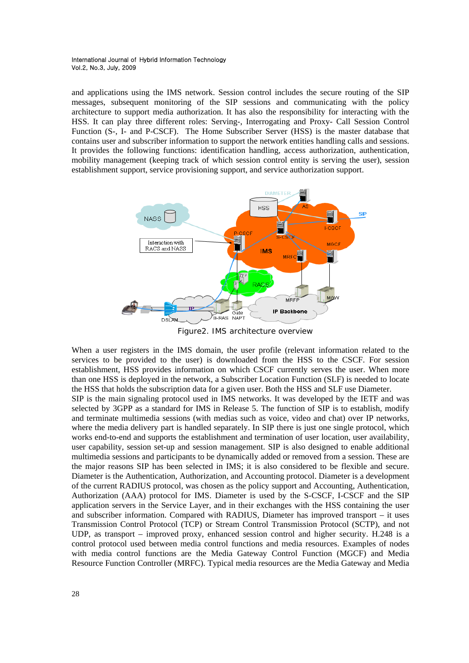and applications using the IMS network. Session control includes the secure routing of the SIP messages, subsequent monitoring of the SIP sessions and communicating with the policy architecture to support media authorization. It has also the responsibility for interacting with the HSS. It can play three different roles: Serving-, Interrogating and Proxy- Call Session Control Function (S-, I- and P-CSCF). The Home Subscriber Server (HSS) is the master database that contains user and subscriber information to support the network entities handling calls and sessions. It provides the following functions: identification handling, access authorization, authentication, mobility management (keeping track of which session control entity is serving the user), session establishment support, service provisioning support, and service authorization support.



Figure2. IMS architecture overview

When a user registers in the IMS domain, the user profile (relevant information related to the services to be provided to the user) is downloaded from the HSS to the CSCF. For session establishment, HSS provides information on which CSCF currently serves the user. When more than one HSS is deployed in the network, a Subscriber Location Function (SLF) is needed to locate the HSS that holds the subscription data for a given user. Both the HSS and SLF use Diameter. SIP is the main signaling protocol used in IMS networks. It was developed by the IETF and was selected by 3GPP as a standard for IMS in Release 5. The function of SIP is to establish, modify and terminate multimedia sessions (with medias such as voice, video and chat) over IP networks, where the media delivery part is handled separately. In SIP there is just one single protocol, which works end-to-end and supports the establishment and termination of user location, user availability, user capability, session set-up and session management. SIP is also designed to enable additional multimedia sessions and participants to be dynamically added or removed from a session. These are the major reasons SIP has been selected in IMS; it is also considered to be flexible and secure. Diameter is the Authentication, Authorization, and Accounting protocol. Diameter is a development of the current RADIUS protocol, was chosen as the policy support and Accounting, Authentication, Authorization (AAA) protocol for IMS. Diameter is used by the S-CSCF, I-CSCF and the SIP application servers in the Service Layer, and in their exchanges with the HSS containing the user and subscriber information. Compared with RADIUS, Diameter has improved transport – it uses Transmission Control Protocol (TCP) or Stream Control Transmission Protocol (SCTP), and not UDP, as transport – improved proxy, enhanced session control and higher security. H.248 is a control protocol used between media control functions and media resources. Examples of nodes with media control functions are the Media Gateway Control Function (MGCF) and Media Resource Function Controller (MRFC). Typical media resources are the Media Gateway and Media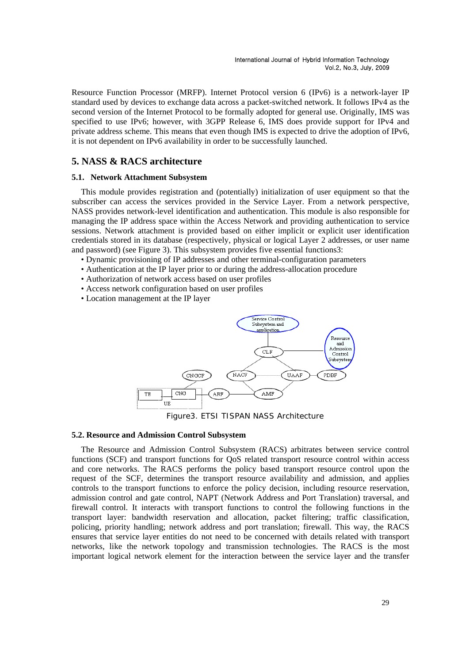Resource Function Processor (MRFP). Internet Protocol version 6 (IPv6) is a network-layer IP standard used by devices to exchange data across a packet-switched network. It follows IPv4 as the second version of the Internet Protocol to be formally adopted for general use. Originally, IMS was specified to use IPv6; however, with 3GPP Release 6, IMS does provide support for IPv4 and private address scheme. This means that even though IMS is expected to drive the adoption of IPv6, it is not dependent on IPv6 availability in order to be successfully launched.

## **5. NASS & RACS architecture**

### **5.1. Network Attachment Subsystem**

This module provides registration and (potentially) initialization of user equipment so that the subscriber can access the services provided in the Service Layer. From a network perspective, NASS provides network-level identification and authentication. This module is also responsible for managing the IP address space within the Access Network and providing authentication to service sessions. Network attachment is provided based on either implicit or explicit user identification credentials stored in its database (respectively, physical or logical Layer 2 addresses, or user name and password) (see Figure 3). This subsystem provides five essential functions3:

- Dynamic provisioning of IP addresses and other terminal-configuration parameters
- Authentication at the IP layer prior to or during the address-allocation procedure
- Authorization of network access based on user profiles
- Access network configuration based on user profiles
- Location management at the IP layer



Figure3. ETSI TISPAN NASS Architecture

### **5.2. Resource and Admission Control Subsystem**

The Resource and Admission Control Subsystem (RACS) arbitrates between service control functions (SCF) and transport functions for QoS related transport resource control within access and core networks. The RACS performs the policy based transport resource control upon the request of the SCF, determines the transport resource availability and admission, and applies controls to the transport functions to enforce the policy decision, including resource reservation, admission control and gate control, NAPT (Network Address and Port Translation) traversal, and firewall control. It interacts with transport functions to control the following functions in the transport layer: bandwidth reservation and allocation, packet filtering; traffic classification, policing, priority handling; network address and port translation; firewall. This way, the RACS ensures that service layer entities do not need to be concerned with details related with transport networks, like the network topology and transmission technologies. The RACS is the most important logical network element for the interaction between the service layer and the transfer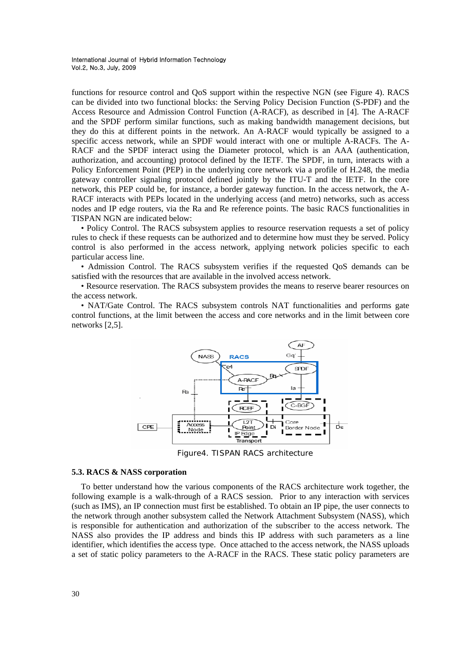functions for resource control and QoS support within the respective NGN (see Figure 4). RACS can be divided into two functional blocks: the Serving Policy Decision Function (S-PDF) and the Access Resource and Admission Control Function (A-RACF), as described in [4]. The A-RACF and the SPDF perform similar functions, such as making bandwidth management decisions, but they do this at different points in the network. An A-RACF would typically be assigned to a specific access network, while an SPDF would interact with one or multiple A-RACFs. The A-RACF and the SPDF interact using the Diameter protocol, which is an AAA (authentication, authorization, and accounting) protocol defined by the IETF. The SPDF, in turn, interacts with a Policy Enforcement Point (PEP) in the underlying core network via a profile of H.248, the media gateway controller signaling protocol defined jointly by the ITU-T and the IETF. In the core network, this PEP could be, for instance, a border gateway function. In the access network, the A-RACF interacts with PEPs located in the underlying access (and metro) networks, such as access nodes and IP edge routers, via the Ra and Re reference points. The basic RACS functionalities in TISPAN NGN are indicated below:

• Policy Control. The RACS subsystem applies to resource reservation requests a set of policy rules to check if these requests can be authorized and to determine how must they be served. Policy control is also performed in the access network, applying network policies specific to each particular access line.

• Admission Control. The RACS subsystem verifies if the requested QoS demands can be satisfied with the resources that are available in the involved access network.

• Resource reservation. The RACS subsystem provides the means to reserve bearer resources on the access network.

• NAT/Gate Control. The RACS subsystem controls NAT functionalities and performs gate control functions, at the limit between the access and core networks and in the limit between core networks [2,5].



Figure4. TISPAN RACS architecture

### **5.3. RACS & NASS corporation**

To better understand how the various components of the RACS architecture work together, the following example is a walk-through of a RACS session. Prior to any interaction with services (such as IMS), an IP connection must first be established. To obtain an IP pipe, the user connects to the network through another subsystem called the Network Attachment Subsystem (NASS), which is responsible for authentication and authorization of the subscriber to the access network. The NASS also provides the IP address and binds this IP address with such parameters as a line identifier, which identifies the access type. Once attached to the access network, the NASS uploads a set of static policy parameters to the A-RACF in the RACS. These static policy parameters are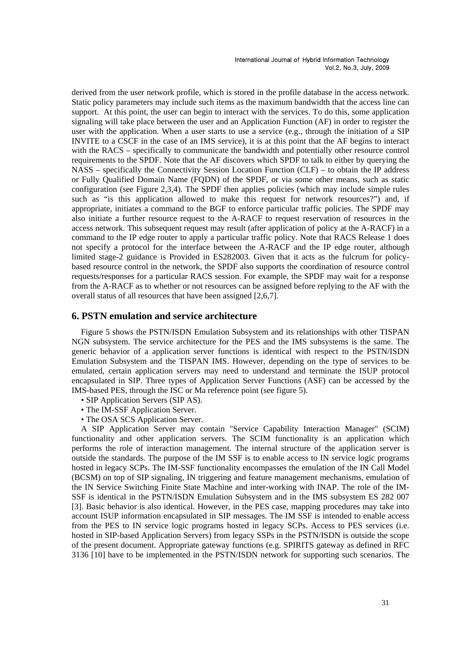derived from the user network profile, which is stored in the profile database in the access network. Static policy parameters may include such items as the maximum bandwidth that the access line can support. At this point, the user can begin to interact with the services. To do this, some application signaling will take place between the user and an Application Function (AF) in order to register the user with the application. When a user starts to use a service (e.g., through the initiation of a SIP INVITE to a CSCF in the case of an IMS service), it is at this point that the AF begins to interact with the RACS – specifically to communicate the bandwidth and potentially other resource control requirements to the SPDF. Note that the AF discovers which SPDF to talk to either by querying the NASS – specifically the Connectivity Session Location Function (CLF) – to obtain the IP address or Fully Qualified Domain Name (FQDN) of the SPDF, or via some other means, such as static configuration (see Figure 2,3,4). The SPDF then applies policies (which may include simple rules such as "is this application allowed to make this request for network resources?") and, if appropriate, initiates a command to the BGF to enforce particular traffic policies. The SPDF may also initiate a further resource request to the A-RACF to request reservation of resources in the access network. This subsequent request may result (after application of policy at the A-RACF) in a command to the IP edge router to apply a particular traffic policy. Note that RACS Release 1 does not specify a protocol for the interface between the A-RACF and the IP edge router, although limited stage-2 guidance is Provided in ES282003. Given that it acts as the fulcrum for policybased resource control in the network, the SPDF also supports the coordination of resource control requests/responses for a particular RACS session. For example, the SPDF may wait for a response from the A-RACF as to whether or not resources can be assigned before replying to the AF with the overall status of all resources that have been assigned [2,6,7].

### **6. PSTN emulation and service architecture**

Figure 5 shows the PSTN/ISDN Emulation Subsystem and its relationships with other TISPAN NGN subsystem. The service architecture for the PES and the IMS subsystems is the same. The generic behavior of a application server functions is identical with respect to the PSTN/ISDN Emulation Subsystem and the TISPAN IMS. However, depending on the type of services to be emulated, certain application servers may need to understand and terminate the ISUP protocol encapsulated in SIP. Three types of Application Server Functions (ASF) can be accessed by the IMS-based PES, through the ISC or Ma reference point (see figure 5).

- SIP Application Servers (SIP AS).
- The IM-SSF Application Server.
- The OSA SCS Application Server.

A SIP Application Server may contain "Service Capability Interaction Manager" (SCIM) functionality and other application servers. The SCIM functionality is an application which performs the role of interaction management. The internal structure of the application server is outside the standards. The purpose of the IM SSF is to enable access to IN service logic programs hosted in legacy SCPs. The IM-SSF functionality encompasses the emulation of the IN Call Model (BCSM) on top of SIP signaling, IN triggering and feature management mechanisms, emulation of the IN Service Switching Finite State Machine and inter-working with INAP. The role of the IM-SSF is identical in the PSTN/ISDN Emulation Subsystem and in the IMS subsystem ES 282 007 [3]. Basic behavior is also identical. However, in the PES case, mapping procedures may take into account ISUP information encapsulated in SIP messages. The IM SSF is intended to enable access from the PES to IN service logic programs hosted in legacy SCPs. Access to PES services (i.e. hosted in SIP-based Application Servers) from legacy SSPs in the PSTN/ISDN is outside the scope of the present document. Appropriate gateway functions (e.g. SPIRITS gateway as defined in RFC 3136 [10] have to be implemented in the PSTN/ISDN network for supporting such scenarios. The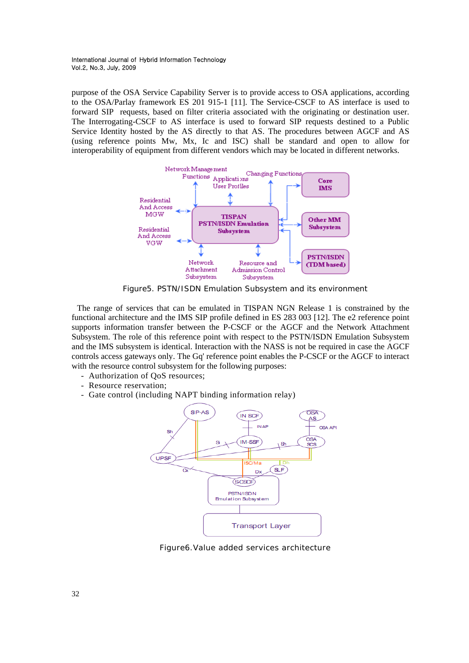purpose of the OSA Service Capability Server is to provide access to OSA applications, according to the OSA/Parlay framework ES 201 915-1 [11]. The Service-CSCF to AS interface is used to forward SIP requests, based on filter criteria associated with the originating or destination user. The Interrogating-CSCF to AS interface is used to forward SIP requests destined to a Public Service Identity hosted by the AS directly to that AS. The procedures between AGCF and AS (using reference points Mw, Mx, Ic and ISC) shall be standard and open to allow for interoperability of equipment from different vendors which may be located in different networks.



Figure5. PSTN/ISDN Emulation Subsystem and its environment

The range of services that can be emulated in TISPAN NGN Release 1 is constrained by the functional architecture and the IMS SIP profile defined in ES 283 003 [12]. The e2 reference point supports information transfer between the P-CSCF or the AGCF and the Network Attachment Subsystem. The role of this reference point with respect to the PSTN/ISDN Emulation Subsystem and the IMS subsystem is identical. Interaction with the NASS is not be required in case the AGCF controls access gateways only. The Gq' reference point enables the P-CSCF or the AGCF to interact with the resource control subsystem for the following purposes:

- Authorization of QoS resources;
- Resource reservation;
- Gate control (including NAPT binding information relay)



Figure6.Value added services architecture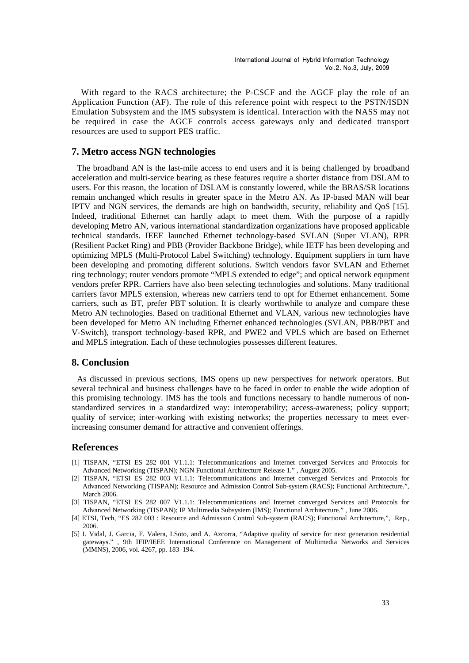With regard to the RACS architecture; the P-CSCF and the AGCF play the role of an Application Function (AF). The role of this reference point with respect to the PSTN/ISDN Emulation Subsystem and the IMS subsystem is identical. Interaction with the NASS may not be required in case the AGCF controls access gateways only and dedicated transport resources are used to support PES traffic.

## **7. Metro access NGN technologies**

The broadband AN is the last-mile access to end users and it is being challenged by broadband acceleration and multi-service bearing as these features require a shorter distance from DSLAM to users. For this reason, the location of DSLAM is constantly lowered, while the BRAS/SR locations remain unchanged which results in greater space in the Metro AN. As IP-based MAN will bear IPTV and NGN services, the demands are high on bandwidth, security, reliability and QoS [15]. Indeed, traditional Ethernet can hardly adapt to meet them. With the purpose of a rapidly developing Metro AN, various international standardization organizations have proposed applicable technical standards. IEEE launched Ethernet technology-based SVLAN (Super VLAN), RPR (Resilient Packet Ring) and PBB (Provider Backbone Bridge), while IETF has been developing and optimizing MPLS (Multi-Protocol Label Switching) technology. Equipment suppliers in turn have been developing and promoting different solutions. Switch vendors favor SVLAN and Ethernet ring technology; router vendors promote "MPLS extended to edge"; and optical network equipment vendors prefer RPR. Carriers have also been selecting technologies and solutions. Many traditional carriers favor MPLS extension, whereas new carriers tend to opt for Ethernet enhancement. Some carriers, such as BT, prefer PBT solution. It is clearly worthwhile to analyze and compare these Metro AN technologies. Based on traditional Ethernet and VLAN, various new technologies have been developed for Metro AN including Ethernet enhanced technologies (SVLAN, PBB/PBT and V-Switch), transport technology-based RPR, and PWE2 and VPLS which are based on Ethernet and MPLS integration. Each of these technologies possesses different features.

## **8. Conclusion**

As discussed in previous sections, IMS opens up new perspectives for network operators. But several technical and business challenges have to be faced in order to enable the wide adoption of this promising technology. IMS has the tools and functions necessary to handle numerous of nonstandardized services in a standardized way: interoperability; access-awareness; policy support; quality of service; inter-working with existing networks; the properties necessary to meet everincreasing consumer demand for attractive and convenient offerings.

## **References**

- [1] TISPAN, "ETSI ES 282 001 V1.1.1: Telecommunications and Internet converged Services and Protocols for Advanced Networking (TISPAN); NGN Functional Architecture Release 1." , August 2005.
- [2] TISPAN, "ETSI ES 282 003 V1.1.1: Telecommunications and Internet converged Services and Protocols for Advanced Networking (TISPAN); Resource and Admission Control Sub-system (RACS); Functional Architecture.", March 2006.
- [3] TISPAN, "ETSI ES 282 007 V1.1.1: Telecommunications and Internet converged Services and Protocols for Advanced Networking (TISPAN); IP Multimedia Subsystem (IMS); Functional Architecture." , June 2006.
- [4] ETSI, Tech, "ES 282 003 : Resource and Admission Control Sub-system (RACS); Functional Architecture,", Rep., 2006.
- [5] I. Vidal, J. Garcia, F. Valera, I.Soto, and A. Azcorra, "Adaptive quality of service for next generation residential gateways." , 9th IFIP/IEEE International Conference on Management of Multimedia Networks and Services (MMNS), 2006, vol. 4267, pp. 183–194.